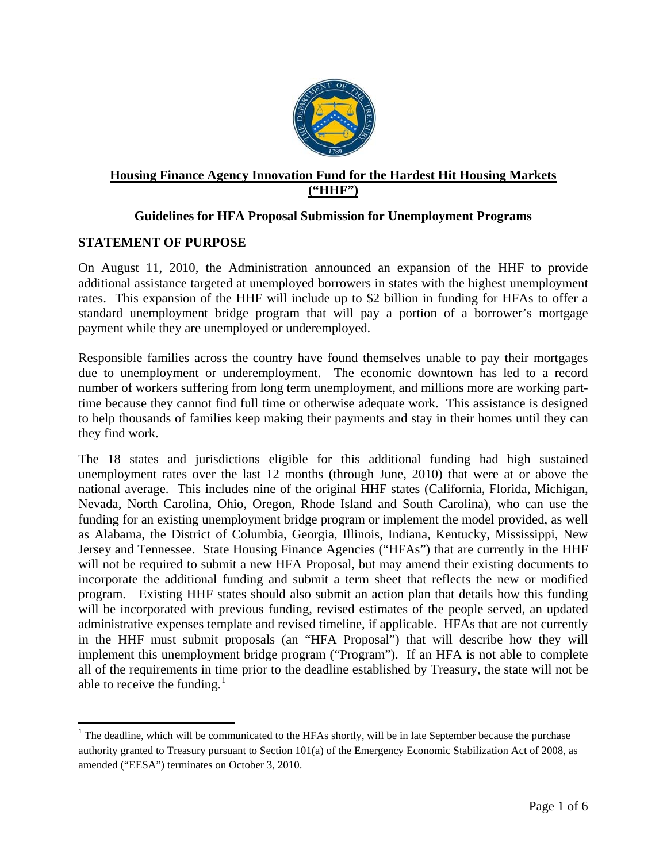

# **Housing Finance Agency Innovation Fund for the Hardest Hit Housing Markets ("HHF")**

## **Guidelines for HFA Proposal Submission for Unemployment Programs**

#### **STATEMENT OF PURPOSE**

On August 11, 2010, the Administration announced an expansion of the HHF to provide additional assistance targeted at unemployed borrowers in states with the highest unemployment rates. This expansion of the HHF will include up to \$2 billion in funding for HFAs to offer a standard unemployment bridge program that will pay a portion of a borrower's mortgage payment while they are unemployed or underemployed.

Responsible families across the country have found themselves unable to pay their mortgages due to unemployment or underemployment. The economic downtown has led to a record number of workers suffering from long term unemployment, and millions more are working parttime because they cannot find full time or otherwise adequate work. This assistance is designed to help thousands of families keep making their payments and stay in their homes until they can they find work.

The 18 states and jurisdictions eligible for this additional funding had high sustained unemployment rates over the last 12 months (through June, 2010) that were at or above the national average. This includes nine of the original HHF states (California, Florida, Michigan, Nevada, North Carolina, Ohio, Oregon, Rhode Island and South Carolina), who can use the funding for an existing unemployment bridge program or implement the model provided, as well as Alabama, the District of Columbia, Georgia, Illinois, Indiana, Kentucky, Mississippi, New Jersey and Tennessee. State Housing Finance Agencies ("HFAs") that are currently in the HHF will not be required to submit a new HFA Proposal, but may amend their existing documents to incorporate the additional funding and submit a term sheet that reflects the new or modified program. Existing HHF states should also submit an action plan that details how this funding will be incorporated with previous funding, revised estimates of the people served, an updated administrative expenses template and revised timeline, if applicable. HFAs that are not currently in the HHF must submit proposals (an "HFA Proposal") that will describe how they will implement this unemployment bridge program ("Program"). If an HFA is not able to complete all of the requirements in time prior to the deadline established by Treasury, the state will not be able to receive the funding. $<sup>1</sup>$  $<sup>1</sup>$  $<sup>1</sup>$ </sup>

<span id="page-0-0"></span><sup>&</sup>lt;sup>1</sup> The deadline, which will be communicated to the HFAs shortly, will be in late September because the purchase authority granted to Treasury pursuant to Section 101(a) of the Emergency Economic Stabilization Act of 2008, as amended ("EESA") terminates on October 3, 2010.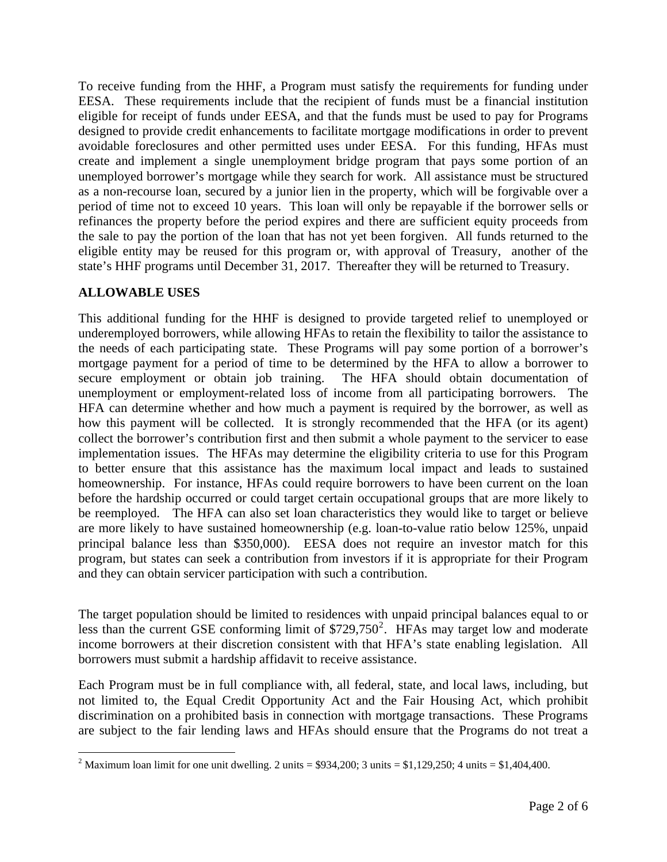To receive funding from the HHF, a Program must satisfy the requirements for funding under EESA. These requirements include that the recipient of funds must be a financial institution eligible for receipt of funds under EESA, and that the funds must be used to pay for Programs designed to provide credit enhancements to facilitate mortgage modifications in order to prevent avoidable foreclosures and other permitted uses under EESA. For this funding, HFAs must create and implement a single unemployment bridge program that pays some portion of an unemployed borrower's mortgage while they search for work. All assistance must be structured as a non-recourse loan, secured by a junior lien in the property, which will be forgivable over a period of time not to exceed 10 years. This loan will only be repayable if the borrower sells or refinances the property before the period expires and there are sufficient equity proceeds from the sale to pay the portion of the loan that has not yet been forgiven. All funds returned to the eligible entity may be reused for this program or, with approval of Treasury, another of the state's HHF programs until December 31, 2017. Thereafter they will be returned to Treasury.

### **ALLOWABLE USES**

This additional funding for the HHF is designed to provide targeted relief to unemployed or underemployed borrowers, while allowing HFAs to retain the flexibility to tailor the assistance to the needs of each participating state. These Programs will pay some portion of a borrower's mortgage payment for a period of time to be determined by the HFA to allow a borrower to secure employment or obtain job training. The HFA should obtain documentation of unemployment or employment-related loss of income from all participating borrowers. The HFA can determine whether and how much a payment is required by the borrower, as well as how this payment will be collected. It is strongly recommended that the HFA (or its agent) collect the borrower's contribution first and then submit a whole payment to the servicer to ease implementation issues. The HFAs may determine the eligibility criteria to use for this Program to better ensure that this assistance has the maximum local impact and leads to sustained homeownership.For instance, HFAs could require borrowers to have been current on the loan before the hardship occurred or could target certain occupational groups that are more likely to be reemployed. The HFA can also set loan characteristics they would like to target or believe are more likely to have sustained homeownership (e.g. loan-to-value ratio below 125%, unpaid principal balance less than \$350,000). EESA does not require an investor match for this program, but states can seek a contribution from investors if it is appropriate for their Program and they can obtain servicer participation with such a contribution.

The target population should be limited to residences with unpaid principal balances equal to or less than the current GSE conforming limit of  $$729,750^2$  $$729,750^2$  $$729,750^2$ . HFAs may target low and moderate income borrowers at their discretion consistent with that HFA's state enabling legislation. All borrowers must submit a hardship affidavit to receive assistance.

Each Program must be in full compliance with, all federal, state, and local laws, including, but not limited to, the Equal Credit Opportunity Act and the Fair Housing Act, which prohibit discrimination on a prohibited basis in connection with mortgage transactions. These Programs are subject to the fair lending laws and HFAs should ensure that the Programs do not treat a

<span id="page-1-0"></span><sup>&</sup>lt;sup>2</sup> Maximum loan limit for one unit dwelling. 2 units = \$934,200; 3 units = \$1,129,250; 4 units = \$1,404,400.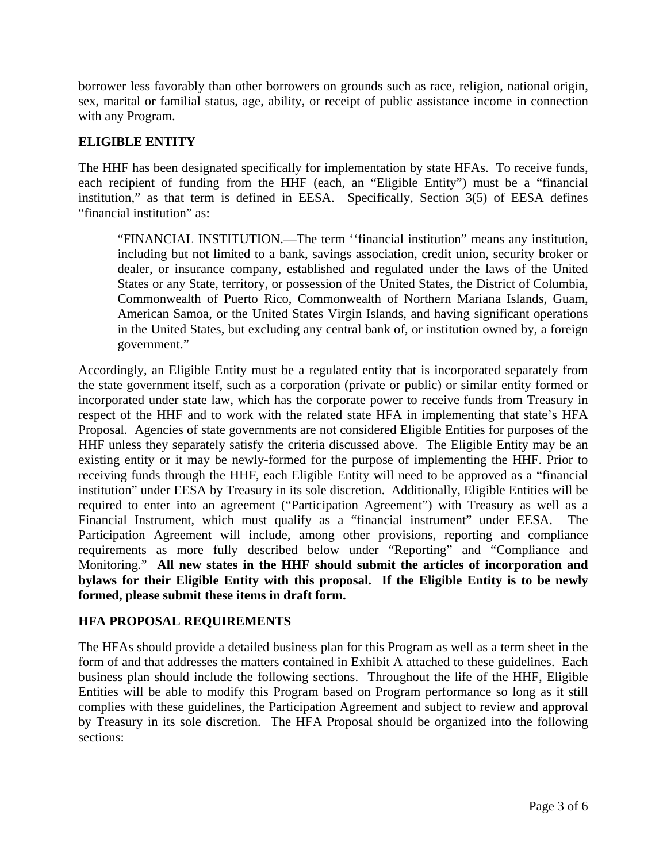borrower less favorably than other borrowers on grounds such as race, religion, national origin, sex, marital or familial status, age, ability, or receipt of public assistance income in connection with any Program.

#### **ELIGIBLE ENTITY**

The HHF has been designated specifically for implementation by state HFAs. To receive funds, each recipient of funding from the HHF (each, an "Eligible Entity") must be a "financial institution," as that term is defined in EESA. Specifically, Section 3(5) of EESA defines "financial institution" as:

"FINANCIAL INSTITUTION.—The term ''financial institution" means any institution, including but not limited to a bank, savings association, credit union, security broker or dealer, or insurance company, established and regulated under the laws of the United States or any State, territory, or possession of the United States, the District of Columbia, Commonwealth of Puerto Rico, Commonwealth of Northern Mariana Islands, Guam, American Samoa, or the United States Virgin Islands, and having significant operations in the United States, but excluding any central bank of, or institution owned by, a foreign government."

Accordingly, an Eligible Entity must be a regulated entity that is incorporated separately from the state government itself, such as a corporation (private or public) or similar entity formed or incorporated under state law, which has the corporate power to receive funds from Treasury in respect of the HHF and to work with the related state HFA in implementing that state's HFA Proposal. Agencies of state governments are not considered Eligible Entities for purposes of the HHF unless they separately satisfy the criteria discussed above. The Eligible Entity may be an existing entity or it may be newly-formed for the purpose of implementing the HHF. Prior to receiving funds through the HHF, each Eligible Entity will need to be approved as a "financial institution" under EESA by Treasury in its sole discretion. Additionally, Eligible Entities will be required to enter into an agreement ("Participation Agreement") with Treasury as well as a Financial Instrument, which must qualify as a "financial instrument" under EESA. The Participation Agreement will include, among other provisions, reporting and compliance requirements as more fully described below under "Reporting" and "Compliance and Monitoring." **All new states in the HHF should submit the articles of incorporation and bylaws for their Eligible Entity with this proposal. If the Eligible Entity is to be newly formed, please submit these items in draft form.** 

#### **HFA PROPOSAL REQUIREMENTS**

The HFAs should provide a detailed business plan for this Program as well as a term sheet in the form of and that addresses the matters contained in Exhibit A attached to these guidelines. Each business plan should include the following sections. Throughout the life of the HHF, Eligible Entities will be able to modify this Program based on Program performance so long as it still complies with these guidelines, the Participation Agreement and subject to review and approval by Treasury in its sole discretion. The HFA Proposal should be organized into the following sections: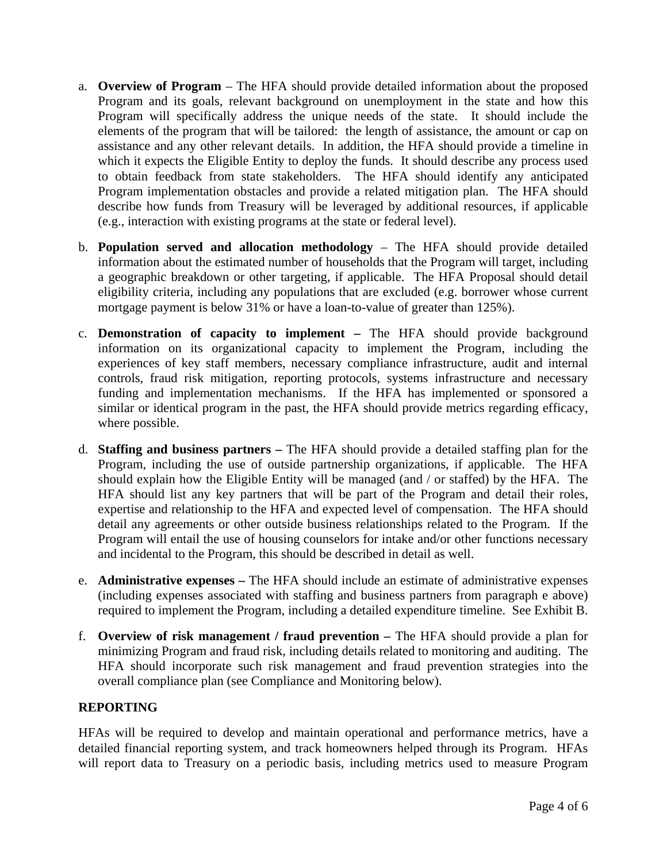- a. **Overview of Program** The HFA should provide detailed information about the proposed Program and its goals, relevant background on unemployment in the state and how this Program will specifically address the unique needs of the state. It should include the elements of the program that will be tailored: the length of assistance, the amount or cap on assistance and any other relevant details. In addition, the HFA should provide a timeline in which it expects the Eligible Entity to deploy the funds. It should describe any process used to obtain feedback from state stakeholders. The HFA should identify any anticipated Program implementation obstacles and provide a related mitigation plan. The HFA should describe how funds from Treasury will be leveraged by additional resources, if applicable (e.g., interaction with existing programs at the state or federal level).
- b. **Population served and allocation methodology**  The HFA should provide detailed information about the estimated number of households that the Program will target, including a geographic breakdown or other targeting, if applicable. The HFA Proposal should detail eligibility criteria, including any populations that are excluded (e.g. borrower whose current mortgage payment is below 31% or have a loan-to-value of greater than 125%).
- c. **Demonstration of capacity to implement** The HFA should provide background information on its organizational capacity to implement the Program, including the experiences of key staff members, necessary compliance infrastructure, audit and internal controls, fraud risk mitigation, reporting protocols, systems infrastructure and necessary funding and implementation mechanisms. If the HFA has implemented or sponsored a similar or identical program in the past, the HFA should provide metrics regarding efficacy, where possible.
- d. **Staffing and business partners** The HFA should provide a detailed staffing plan for the Program, including the use of outside partnership organizations, if applicable. The HFA should explain how the Eligible Entity will be managed (and / or staffed) by the HFA. The HFA should list any key partners that will be part of the Program and detail their roles, expertise and relationship to the HFA and expected level of compensation. The HFA should detail any agreements or other outside business relationships related to the Program. If the Program will entail the use of housing counselors for intake and/or other functions necessary and incidental to the Program, this should be described in detail as well.
- e. **Administrative expenses** The HFA should include an estimate of administrative expenses (including expenses associated with staffing and business partners from paragraph e above) required to implement the Program, including a detailed expenditure timeline. See Exhibit B.
- f. **Overview of risk management / fraud prevention** The HFA should provide a plan for minimizing Program and fraud risk, including details related to monitoring and auditing. The HFA should incorporate such risk management and fraud prevention strategies into the overall compliance plan (see Compliance and Monitoring below).

## **REPORTING**

HFAs will be required to develop and maintain operational and performance metrics, have a detailed financial reporting system, and track homeowners helped through its Program. HFAs will report data to Treasury on a periodic basis, including metrics used to measure Program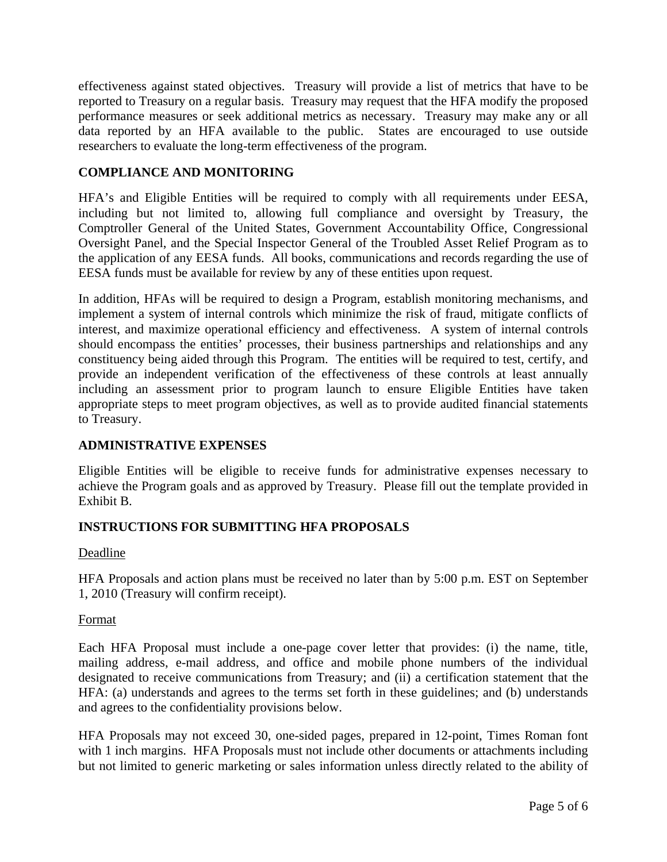effectiveness against stated objectives. Treasury will provide a list of metrics that have to be reported to Treasury on a regular basis. Treasury may request that the HFA modify the proposed performance measures or seek additional metrics as necessary. Treasury may make any or all data reported by an HFA available to the public. States are encouraged to use outside researchers to evaluate the long-term effectiveness of the program.

## **COMPLIANCE AND MONITORING**

HFA's and Eligible Entities will be required to comply with all requirements under EESA, including but not limited to, allowing full compliance and oversight by Treasury, the Comptroller General of the United States, Government Accountability Office, Congressional Oversight Panel, and the Special Inspector General of the Troubled Asset Relief Program as to the application of any EESA funds. All books, communications and records regarding the use of EESA funds must be available for review by any of these entities upon request.

In addition, HFAs will be required to design a Program, establish monitoring mechanisms, and implement a system of internal controls which minimize the risk of fraud, mitigate conflicts of interest, and maximize operational efficiency and effectiveness. A system of internal controls should encompass the entities' processes, their business partnerships and relationships and any constituency being aided through this Program. The entities will be required to test, certify, and provide an independent verification of the effectiveness of these controls at least annually including an assessment prior to program launch to ensure Eligible Entities have taken appropriate steps to meet program objectives, as well as to provide audited financial statements to Treasury.

## **ADMINISTRATIVE EXPENSES**

Eligible Entities will be eligible to receive funds for administrative expenses necessary to achieve the Program goals and as approved by Treasury. Please fill out the template provided in Exhibit B.

## **INSTRUCTIONS FOR SUBMITTING HFA PROPOSALS**

#### Deadline

HFA Proposals and action plans must be received no later than by 5:00 p.m. EST on September 1, 2010 (Treasury will confirm receipt).

## Format

Each HFA Proposal must include a one-page cover letter that provides: (i) the name, title, mailing address, e-mail address, and office and mobile phone numbers of the individual designated to receive communications from Treasury; and (ii) a certification statement that the HFA: (a) understands and agrees to the terms set forth in these guidelines; and (b) understands and agrees to the confidentiality provisions below.

HFA Proposals may not exceed 30, one-sided pages, prepared in 12-point, Times Roman font with 1 inch margins. HFA Proposals must not include other documents or attachments including but not limited to generic marketing or sales information unless directly related to the ability of